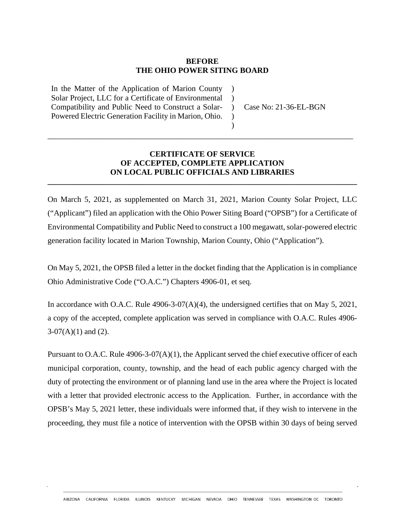## **BEFORE THE OHIO POWER SITING BOARD**

 $\lambda$  $\lambda$ 

 $\lambda$ )

In the Matter of the Application of Marion County Solar Project, LLC for a Certificate of Environmental Compatibility and Public Need to Construct a Solar-Powered Electric Generation Facility in Marion, Ohio.

) Case No: 21-36-EL-BGN

## **CERTIFICATE OF SERVICE OF ACCEPTED, COMPLETE APPLICATION ON LOCAL PUBLIC OFFICIALS AND LIBRARIES**

**\_\_\_\_\_\_\_\_\_\_\_\_\_\_\_\_\_\_\_\_\_\_\_\_\_\_\_\_\_\_\_\_\_\_\_\_\_\_\_\_\_\_\_\_\_\_\_\_\_\_\_\_\_\_\_\_\_\_\_\_\_\_\_\_\_\_\_\_\_\_\_\_\_\_\_\_\_\_**

\_\_\_\_\_\_\_\_\_\_\_\_\_\_\_\_\_\_\_\_\_\_\_\_\_\_\_\_\_\_\_\_\_\_\_\_\_\_\_\_\_\_\_\_\_\_\_\_\_\_\_\_\_\_\_\_\_\_\_\_\_\_\_\_\_\_\_\_\_\_\_\_\_\_\_\_\_

On March 5, 2021, as supplemented on March 31, 2021, Marion County Solar Project, LLC ("Applicant") filed an application with the Ohio Power Siting Board ("OPSB") for a Certificate of Environmental Compatibility and Public Need to construct a 100 megawatt, solar-powered electric generation facility located in Marion Township, Marion County, Ohio ("Application").

On May 5, 2021, the OPSB filed a letter in the docket finding that the Application is in compliance Ohio Administrative Code ("O.A.C.") Chapters 4906-01, et seq.

In accordance with O.A.C. Rule 4906-3-07(A)(4), the undersigned certifies that on May 5, 2021, a copy of the accepted, complete application was served in compliance with O.A.C. Rules 4906-  $3-07(A)(1)$  and  $(2)$ .

Pursuant to O.A.C. Rule 4906-3-07(A)(1), the Applicant served the chief executive officer of each municipal corporation, county, township, and the head of each public agency charged with the duty of protecting the environment or of planning land use in the area where the Project is located with a letter that provided electronic access to the Application. Further, in accordance with the OPSB's May 5, 2021 letter, these individuals were informed that, if they wish to intervene in the proceeding, they must file a notice of intervention with the OPSB within 30 days of being served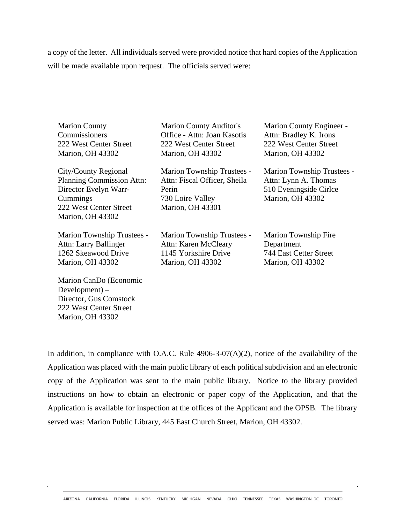a copy of the letter. All individuals served were provided notice that hard copies of the Application will be made available upon request. The officials served were:

| <b>Marion County</b><br>Commissioners<br>222 West Center Street<br>Marion, OH 43302                                                                | <b>Marion County Auditor's</b><br>Office - Attn: Joan Kasotis<br>222 West Center Street<br>Marion, OH 43302        | Marion County Engineer -<br>Attn: Bradley K. Irons<br>222 West Center Street<br>Marion, OH 43302         |
|----------------------------------------------------------------------------------------------------------------------------------------------------|--------------------------------------------------------------------------------------------------------------------|----------------------------------------------------------------------------------------------------------|
| City/County Regional<br><b>Planning Commission Attn:</b><br>Director Evelyn Warr-<br>Cummings<br>222 West Center Street<br><b>Marion, OH 43302</b> | Marion Township Trustees -<br>Attn: Fiscal Officer, Sheila<br>Perin<br>730 Loire Valley<br><b>Marion, OH 43301</b> | Marion Township Trustees -<br>Attn: Lynn A. Thomas<br>510 Eveningside Cirlce<br><b>Marion</b> , OH 43302 |
| <b>Marion Township Trustees -</b><br>Attn: Larry Ballinger<br>1262 Skeawood Drive<br><b>Marion, OH 43302</b>                                       | Marion Township Trustees -<br>Attn: Karen McCleary<br>1145 Yorkshire Drive<br><b>Marion, OH 43302</b>              | <b>Marion Township Fire</b><br>Department<br>744 East Cetter Street<br>Marion, OH 43302                  |
| Marion CanDo (Economic<br>$Development$ ) –<br>Director, Gus Comstock<br>222 West Center Street                                                    |                                                                                                                    |                                                                                                          |

In addition, in compliance with O.A.C. Rule  $4906-3-07(A)(2)$ , notice of the availability of the Application was placed with the main public library of each political subdivision and an electronic copy of the Application was sent to the main public library. Notice to the library provided instructions on how to obtain an electronic or paper copy of the Application, and that the Application is available for inspection at the offices of the Applicant and the OPSB. The library served was: Marion Public Library, 445 East Church Street, Marion, OH 43302.

Marion, OH 43302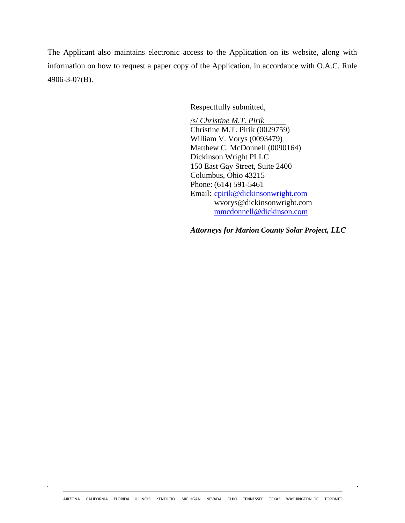The Applicant also maintains electronic access to the Application on its website, along with information on how to request a paper copy of the Application, in accordance with O.A.C. Rule 4906-3-07(B).

Respectfully submitted,

/s/ *Christine M.T. Pirik* Christine M.T. Pirik (0029759) William V. Vorys (0093479) Matthew C. McDonnell (0090164) Dickinson Wright PLLC 150 East Gay Street, Suite 2400 Columbus, Ohio 43215 Phone: (614) 591-5461 Email: cpirik@dickinsonwright.com wvorys@dickinsonwright.com mmcdonnell@dickinson.com

*Attorneys for Marion County Solar Project, LLC*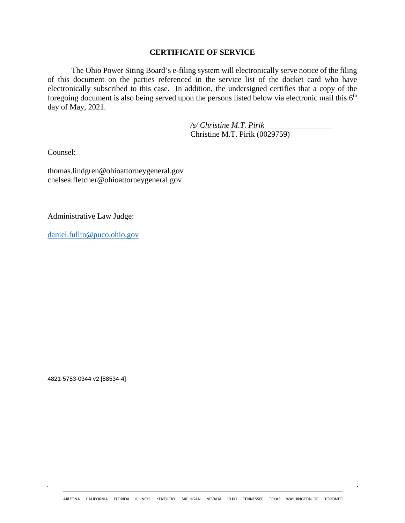## **CERTIFICATE OF SERVICE**

The Ohio Power Siting Board's e-filing system will electronically serve notice of the filing of this document on the parties referenced in the service list of the docket card who have electronically subscribed to this case. In addition, the undersigned certifies that a copy of the foregoing document is also being served upon the persons listed below via electronic mail this  $6<sup>th</sup>$ day of May, 2021.

> */s/ Christine M.T. Pirik* Christine M.T. Pirik (0029759)

Counsel:

thomas.lindgren@ohioattorneygeneral.gov chelsea.fletcher@ohioattorneygeneral.gov

Administrative Law Judge:

daniel.fullin@puco.ohio.gov

4821-5753-0344 v2 [88534-4]